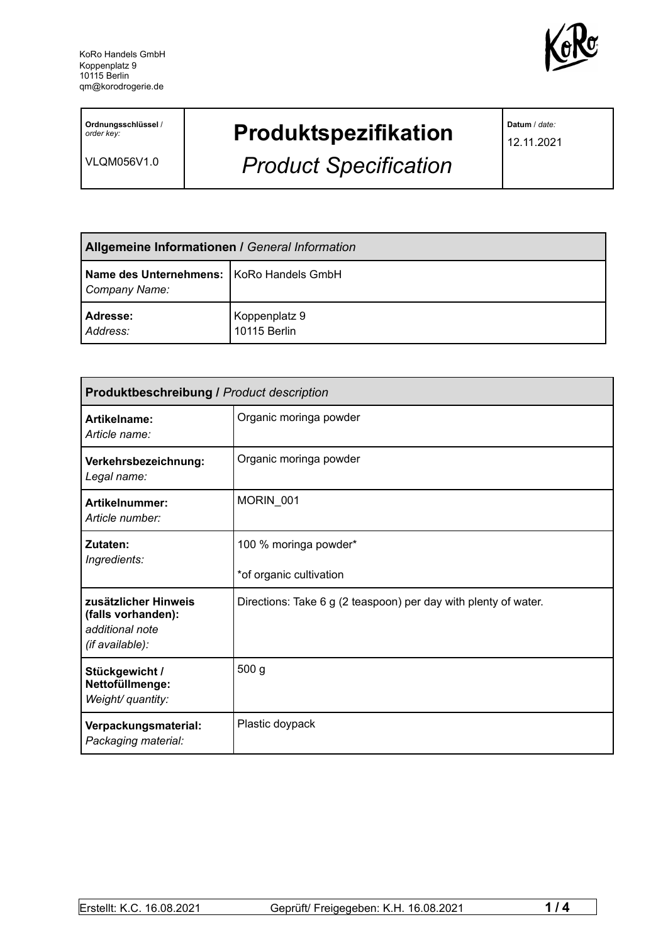

**Ordnungsschlüssel** / *order key:*

VLQM056V1.0

## **Produktspezifikation**

*Product Specification*

**Datum** / *date:*

12.11.2021

| <b>Allgemeine Informationen / General Information</b>       |                               |
|-------------------------------------------------------------|-------------------------------|
| Name des Unternehmens:   KoRo Handels GmbH<br>Company Name: |                               |
| Adresse:<br>Address:                                        | Koppenplatz 9<br>10115 Berlin |

| <b>Produktbeschreibung / Product description</b>                                 |                                                                 |  |
|----------------------------------------------------------------------------------|-----------------------------------------------------------------|--|
| Artikelname:<br>Article name:                                                    | Organic moringa powder                                          |  |
| Verkehrsbezeichnung:<br>Legal name:                                              | Organic moringa powder                                          |  |
| Artikelnummer:<br>Article number:                                                | MORIN 001                                                       |  |
| Zutaten:<br>Ingredients:                                                         | 100 % moringa powder*<br>*of organic cultivation                |  |
| zusätzlicher Hinweis<br>(falls vorhanden):<br>additional note<br>(if available): | Directions: Take 6 g (2 teaspoon) per day with plenty of water. |  |
| Stückgewicht /<br>Nettofüllmenge:<br>Weight/ quantity:                           | 500 <sub>g</sub>                                                |  |
| Verpackungsmaterial:<br>Packaging material:                                      | Plastic doypack                                                 |  |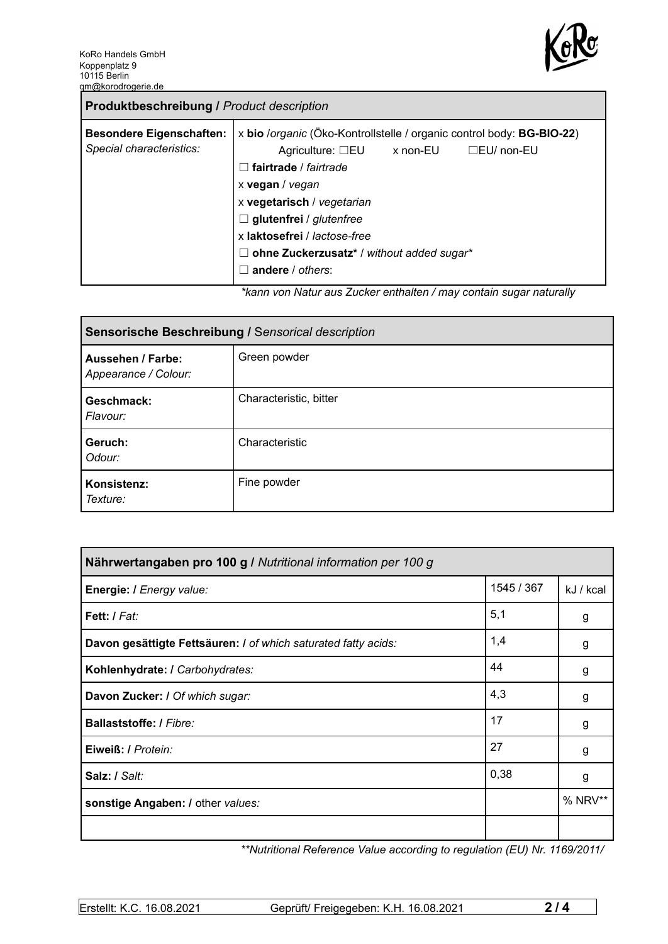

| <b>Produktbeschreibung / Product description</b>            |                                                                                                                                                                                                                                                                                                                                                                                                                                                       |
|-------------------------------------------------------------|-------------------------------------------------------------------------------------------------------------------------------------------------------------------------------------------------------------------------------------------------------------------------------------------------------------------------------------------------------------------------------------------------------------------------------------------------------|
| <b>Besondere Eigenschaften:</b><br>Special characteristics: | x bio /organic (Öko-Kontrollstelle / organic control body: BG-BIO-22)<br>Agriculture: $\square$ EU x non-EU<br>$\Box$ EU/ non-EU<br>fairtrade / fairtrade<br>$\perp$<br>x vegan / vegan<br>x vegetarisch / vegetarian<br>$\Box$ glutenfrei / glutenfree<br>x laktosefrei / lactose-free<br>ohne Zuckerzusatz* / without added sugar*<br>Ш<br>andere / others:<br>$\mathcal{L}$<br>ticono uno Aleturezzo Zuelconomikalten (mesucantein euspenaturallur |

*\*kann von Natur aus Zucker enthalten / may contain sugar naturally*

| Sensorische Beschreibung / Sensorical description |                        |  |
|---------------------------------------------------|------------------------|--|
| <b>Aussehen / Farbe:</b><br>Appearance / Colour:  | Green powder           |  |
| Geschmack:<br>Flavour:                            | Characteristic, bitter |  |
| Geruch:<br>Odour:                                 | Characteristic         |  |
| Konsistenz:<br>Texture:                           | Fine powder            |  |

| Nährwertangaben pro 100 g / Nutritional information per 100 g  |            |           |
|----------------------------------------------------------------|------------|-----------|
| Energie: I Energy value:                                       | 1545 / 367 | kJ / kcal |
| Fett: / Fat:                                                   | 5,1        | g         |
| Davon gesättigte Fettsäuren: I of which saturated fatty acids: | 1,4        | g         |
| Kohlenhydrate: I Carbohydrates:                                | 44         | g         |
| Davon Zucker: I Of which sugar:                                | 4,3        | g         |
| Ballaststoffe: / Fibre:                                        | 17         | g         |
| Eiweiß: / Protein:                                             | 27         | g         |
| Salz: / Salt:                                                  | 0,38       | g         |
| sonstige Angaben: / other values:                              |            | % NRV**   |
|                                                                |            |           |

*\*\*Nutritional Reference Value according to regulation (EU) Nr. 1169/2011/*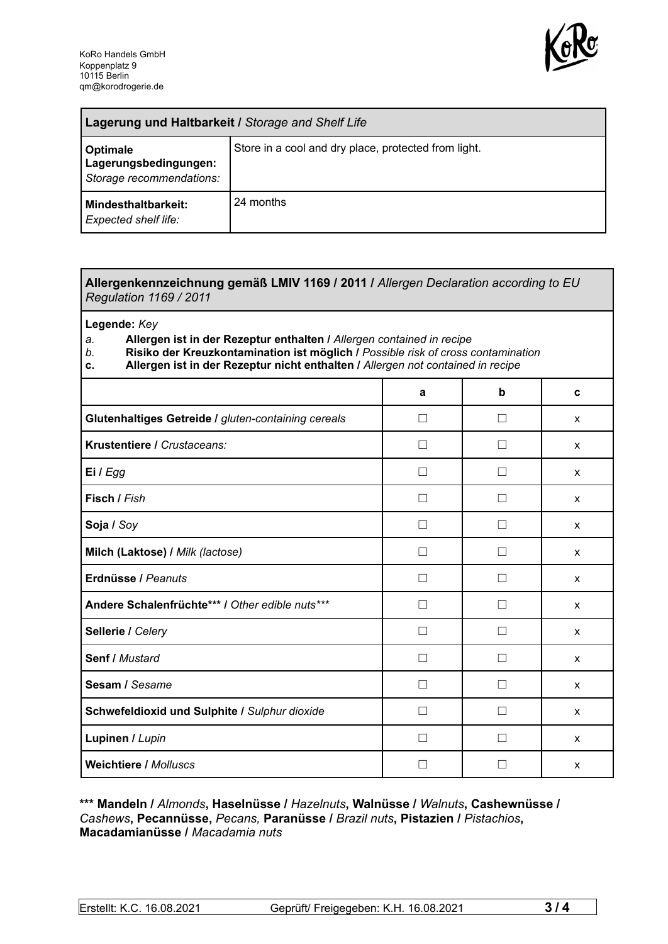

| Lagerung und Haltbarkeit / Storage and Shelf Life             |                                                      |  |
|---------------------------------------------------------------|------------------------------------------------------|--|
| Optimale<br>Lagerungsbedingungen:<br>Storage recommendations: | Store in a cool and dry place, protected from light. |  |
| Mindesthaltbarkeit:<br><b>Expected shelf life:</b>            | 24 months                                            |  |

## **Allergenkennzeichnung gemäß LMIV 1169 / 2011 /** *Allergen Declaration according to EU Regulation 1169 / 2011*

**Legende:** *Key*

*a.* **Allergen ist in der Rezeptur enthalten /** *Allergen contained in recipe*

- *b.* **Risiko der Kreuzkontamination ist möglich /** *Possible risk of cross contamination*
- **c. Allergen ist in der Rezeptur nicht enthalten /** *Allergen not contained in recipe*

|                                                     | a              | b                        | C            |
|-----------------------------------------------------|----------------|--------------------------|--------------|
| Glutenhaltiges Getreide / gluten-containing cereals | П              | $\mathcal{L}$            | X            |
| Krustentiere / Crustaceans:                         | - 1            |                          | X            |
| Ei / Egg                                            |                |                          | X            |
| Fisch / Fish                                        |                |                          | X            |
| Soja / Soy                                          |                |                          | X            |
| Milch (Laktose) / Milk (lactose)                    |                |                          | X            |
| Erdnüsse / Peanuts                                  | $\perp$        | $\mathsf{L}$             | $\mathsf{x}$ |
| Andere Schalenfrüchte*** / Other edible nuts***     | П              | $\Box$                   | X            |
| Sellerie / Celery                                   | $\blacksquare$ | $\overline{\phantom{a}}$ | X            |
| Senf / Mustard                                      | $\perp$        | П                        | X            |
| Sesam / Sesame                                      | - 1            |                          | X            |
| Schwefeldioxid und Sulphite / Sulphur dioxide       |                |                          | X            |
| Lupinen / Lupin                                     |                |                          | X            |
| <b>Weichtiere / Molluscs</b>                        |                |                          | X            |

## **\*\*\* Mandeln /** *Almonds***, Haselnüsse /** *Hazelnuts***, Walnüsse /** *Walnuts***, Cashewnüsse /** *Cashews***, Pecannüsse,** *Pecans,* **Paranüsse /** *Brazil nuts***, Pistazien /** *Pistachios***, Macadamianüsse /** *Macadamia nuts*